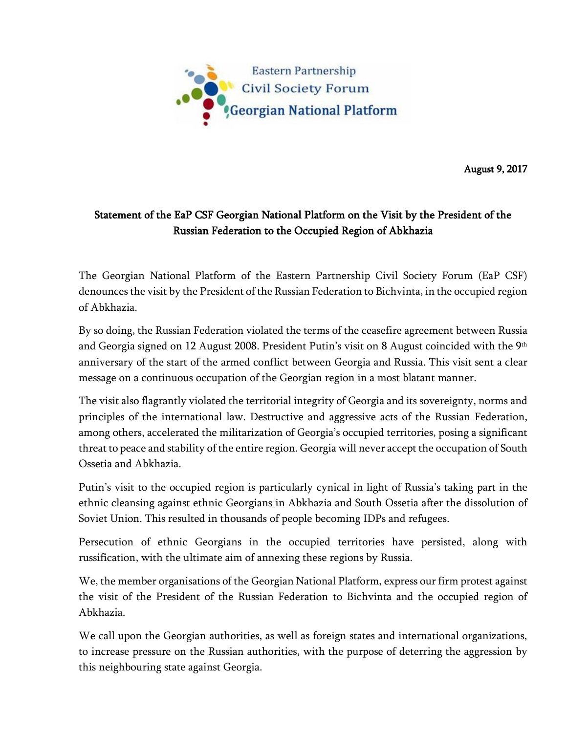

August 9, 2017

## Statement of the EaP CSF Georgian National Platform on the Visit by the President of the Russian Federation to the Occupied Region of Abkhazia

The Georgian National Platform of the Eastern Partnership Civil Society Forum (EaP CSF) denounces the visit by the President of the Russian Federation to Bichvinta, in the occupied region of Abkhazia.

By so doing, the Russian Federation violated the terms of the ceasefire agreement between Russia and Georgia signed on 12 August 2008. President Putin's visit on 8 August coincided with the  $9<sup>th</sup>$ anniversary of the start of the armed conflict between Georgia and Russia. This visit sent a clear message on a continuous occupation of the Georgian region in a most blatant manner.

The visit also flagrantly violated the territorial integrity of Georgia and its sovereignty, norms and principles of the international law. Destructive and aggressive acts of the Russian Federation, among others, accelerated the militarization of Georgia's occupied territories, posing a significant threat to peace and stability of the entire region. Georgia will never accept the occupation of South Ossetia and Abkhazia.

Putin's visit to the occupied region is particularly cynical in light of Russia's taking part in the ethnic cleansing against ethnic Georgians in Abkhazia and South Ossetia after the dissolution of Soviet Union. This resulted in thousands of people becoming IDPs and refugees.

Persecution of ethnic Georgians in the occupied territories have persisted, along with russification, with the ultimate aim of annexing these regions by Russia.

We, the member organisations of the Georgian National Platform, express our firm protest against the visit of the President of the Russian Federation to Bichvinta and the occupied region of Abkhazia.

We call upon the Georgian authorities, as well as foreign states and international organizations, to increase pressure on the Russian authorities, with the purpose of deterring the aggression by this neighbouring state against Georgia.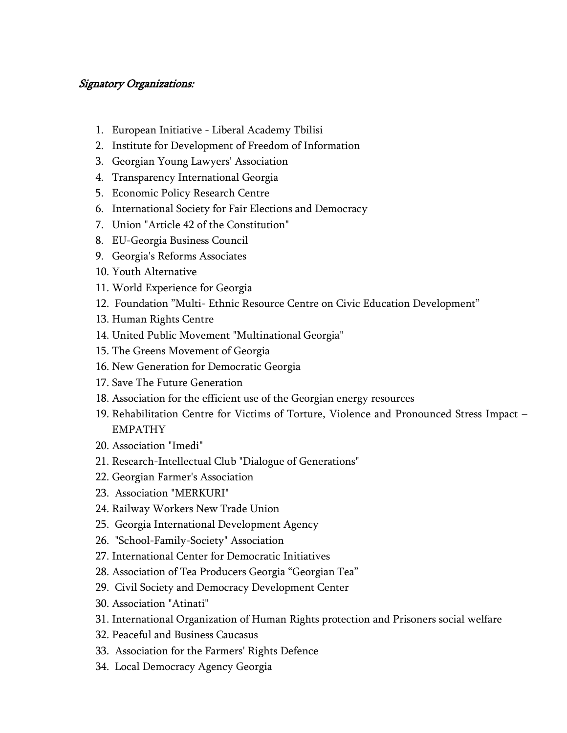## Signatory Organizations:

- 1. European Initiative Liberal Academy Tbilisi
- 2. Institute for Development of Freedom of Information
- 3. Georgian Young Lawyers' Association
- 4. Transparency International Georgia
- 5. Economic Policy Research Centre
- 6. International Society for Fair Elections and Democracy
- 7. Union "Article 42 of the Constitution"
- 8. EU-Georgia Business Council
- 9. Georgia's Reforms Associates
- 10. Youth Alternative
- 11. World Experience for Georgia
- 12. Foundation "Multi- Ethnic Resource Centre on Civic Education Development"
- 13. Human Rights Centre
- 14. United Public Movement "Multinational Georgia"
- 15. The Greens Movement of Georgia
- 16. New Generation for Democratic Georgia
- 17. Save The Future Generation
- 18. Association for the efficient use of the Georgian energy resources
- 19. Rehabilitation Centre for Victims of Torture, Violence and Pronounced Stress Impact EMPATHY
- 20. Association "Imedi"
- 21. Research-Intellectual Club "Dialogue of Generations"
- 22. Georgian Farmer's Association
- 23. Association "MERKURI"
- 24. Railway Workers New Trade Union
- 25. Georgia International Development Agency
- 26. "School-Family-Society" Association
- 27. International Center for Democratic Initiatives
- 28. Association of Tea Producers Georgia "Georgian Tea"
- 29. Civil Society and Democracy Development Center
- 30. Association "Atinati"
- 31. International Organization of Human Rights protection and Prisoners social welfare
- 32. Peaceful and Business Caucasus
- 33. Association for the Farmers' Rights Defence
- 34. Local Democracy Agency Georgia